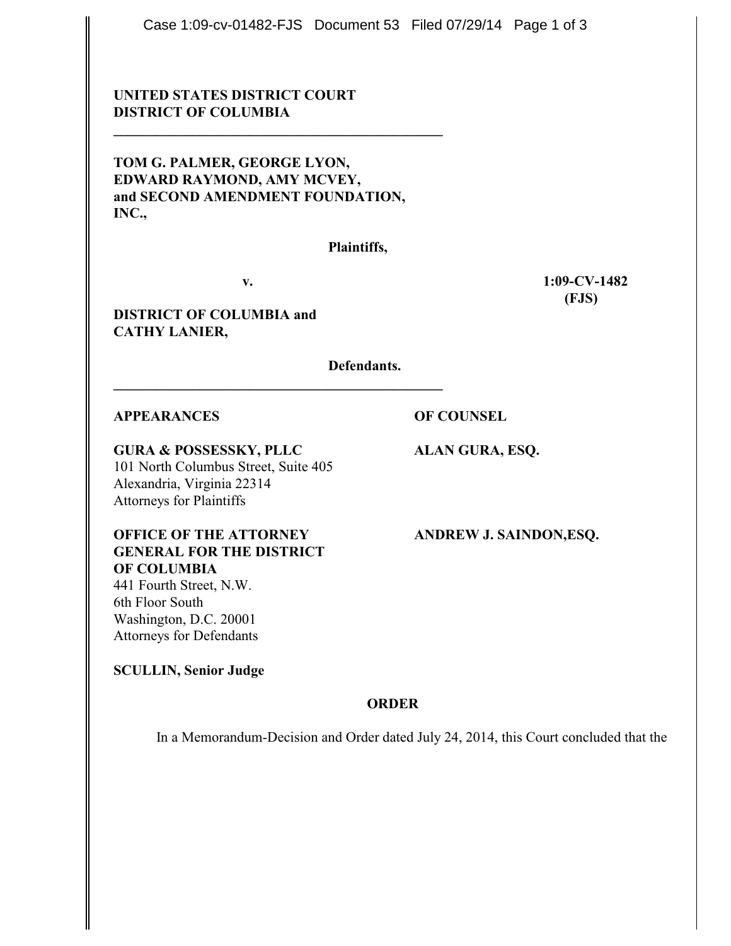Case 1:09-cv-01482-FJS Document 53 Filed 07/29/14 Page 1 of 3

# **UNITED STATES DISTRICT COURT DISTRICT OF COLUMBIA**

**TOM G. PALMER, GEORGE LYON, EDWARD RAYMOND, AMY MCVEY, and SECOND AMENDMENT FOUNDATION, INC.,**

**\_\_\_\_\_\_\_\_\_\_\_\_\_\_\_\_\_\_\_\_\_\_\_\_\_\_\_\_\_\_\_\_\_\_\_\_\_\_\_\_\_\_\_\_\_\_**

**Plaintiffs,**

**\_\_\_\_\_\_\_\_\_\_\_\_\_\_\_\_\_\_\_\_\_\_\_\_\_\_\_\_\_\_\_\_\_\_\_\_\_\_\_\_\_\_\_\_\_\_**

**v. 1:09-CV-1482 (FJS)**

**DISTRICT OF COLUMBIA and CATHY LANIER,**

**Defendants.**

#### **APPEARANCES OF COUNSEL**

**GURA & POSSESSKY, PLLC ALAN GURA, ESQ.** 101 North Columbus Street, Suite 405 Alexandria, Virginia 22314 Attorneys for Plaintiffs

**OFFICE OF THE ATTORNEY ANDREW J. SAINDON,ESQ. GENERAL FOR THE DISTRICT OF COLUMBIA** 441 Fourth Street, N.W.

6th Floor South Washington, D.C. 20001 Attorneys for Defendants

**SCULLIN, Senior Judge**

# **ORDER**

In a Memorandum-Decision and Order dated July 24, 2014, this Court concluded that the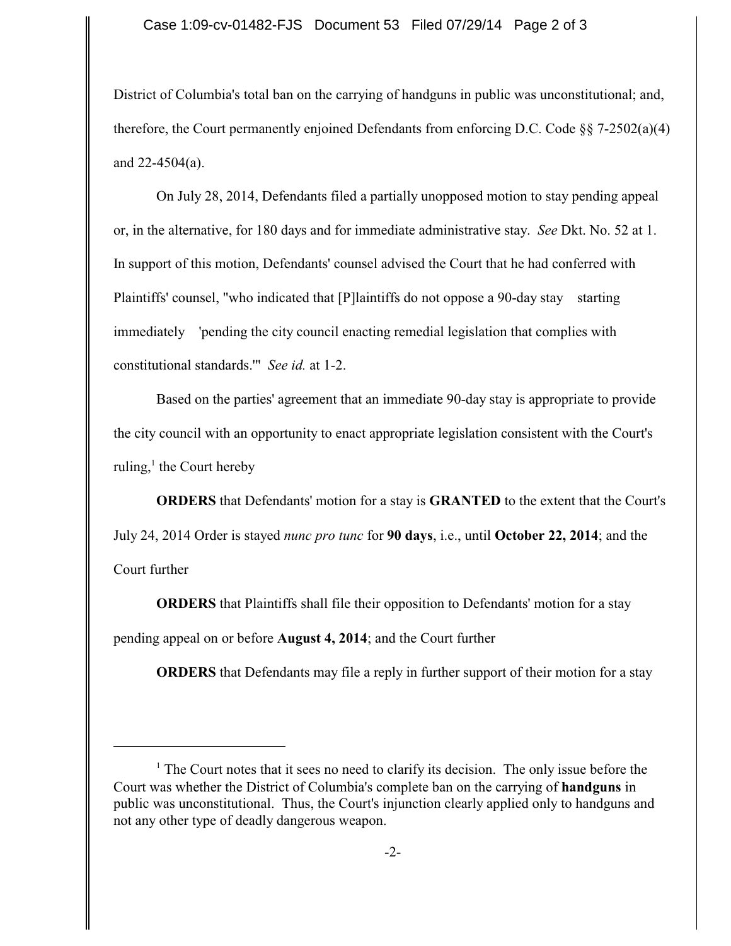#### Case 1:09-cv-01482-FJS Document 53 Filed 07/29/14 Page 2 of 3

District of Columbia's total ban on the carrying of handguns in public was unconstitutional; and, therefore, the Court permanently enjoined Defendants from enforcing D.C. Code  $\S$  7-2502(a)(4) and  $22-4504(a)$ .

On July 28, 2014, Defendants filed a partially unopposed motion to stay pending appeal or, in the alternative, for 180 days and for immediate administrative stay. *See* Dkt. No. 52 at 1. In support of this motion, Defendants' counsel advised the Court that he had conferred with Plaintiffs' counsel, "who indicated that [P]laintiffs do not oppose a 90-day stay starting immediately 'pending the city council enacting remedial legislation that complies with constitutional standards.'" *See id.* at 1-2.

Based on the parties' agreement that an immediate 90-day stay is appropriate to provide the city council with an opportunity to enact appropriate legislation consistent with the Court's ruling, $\frac{1}{1}$  the Court hereby

**ORDERS** that Defendants' motion for a stay is **GRANTED** to the extent that the Court's July 24, 2014 Order is stayed *nunc pro tunc* for **90 days**, i.e., until **October 22, 2014**; and the Court further

**ORDERS** that Plaintiffs shall file their opposition to Defendants' motion for a stay pending appeal on or before **August 4, 2014**; and the Court further

**ORDERS** that Defendants may file a reply in further support of their motion for a stay

 $<sup>1</sup>$  The Court notes that it sees no need to clarify its decision. The only issue before the</sup> Court was whether the District of Columbia's complete ban on the carrying of **handguns** in public was unconstitutional. Thus, the Court's injunction clearly applied only to handguns and not any other type of deadly dangerous weapon.